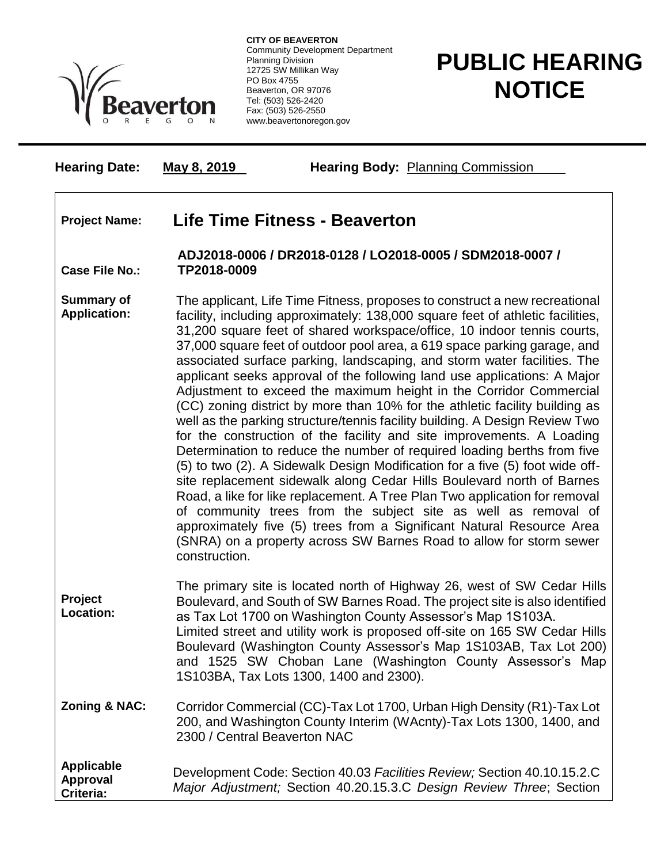

**CITY OF BEAVERTON** Community Development Department Planning Division 12725 SW Millikan Way PO Box 4755 Beaverton, OR 97076 Tel: (503) 526-2420 Fax: (503) 526-2550 www.beavertonoregon.gov

## **PUBLIC HEARING NOTICE**

**Hearing Date: May 8, 2019 Hearing Body:** Planning Commission

## **Project Name: Life Time Fitness - Beaverton**

## **Case File No.: ADJ2018-0006 / DR2018-0128 / LO2018-0005 / SDM2018-0007 / TP2018-0009**

**Summary of Application:** The applicant, Life Time Fitness, proposes to construct a new recreational facility, including approximately: 138,000 square feet of athletic facilities, 31,200 square feet of shared workspace/office, 10 indoor tennis courts, 37,000 square feet of outdoor pool area, a 619 space parking garage, and associated surface parking, landscaping, and storm water facilities. The applicant seeks approval of the following land use applications: A Major Adjustment to exceed the maximum height in the Corridor Commercial (CC) zoning district by more than 10% for the athletic facility building as well as the parking structure/tennis facility building. A Design Review Two for the construction of the facility and site improvements. A Loading Determination to reduce the number of required loading berths from five (5) to two (2). A Sidewalk Design Modification for a five (5) foot wide offsite replacement sidewalk along Cedar Hills Boulevard north of Barnes Road, a like for like replacement. A Tree Plan Two application for removal of community trees from the subject site as well as removal of approximately five (5) trees from a Significant Natural Resource Area (SNRA) on a property across SW Barnes Road to allow for storm sewer construction.

**Project Location:** The primary site is located north of Highway 26, west of SW Cedar Hills Boulevard, and South of SW Barnes Road. The project site is also identified as Tax Lot 1700 on Washington County Assessor's Map 1S103A. Limited street and utility work is proposed off-site on 165 SW Cedar Hills Boulevard (Washington County Assessor's Map 1S103AB, Tax Lot 200) and 1525 SW Choban Lane (Washington County Assessor's Map 1S103BA, Tax Lots 1300, 1400 and 2300).

**Zoning & NAC:** Corridor Commercial (CC)-Tax Lot 1700, Urban High Density (R1)-Tax Lot 200, and Washington County Interim (WAcnty)-Tax Lots 1300, 1400, and 2300 / Central Beaverton NAC

**Applicable Approval Criteria:** Development Code: Section 40.03 *Facilities Review;* Section 40.10.15.2.C *Major Adjustment;* Section 40.20.15.3.C *Design Review Three*; Section